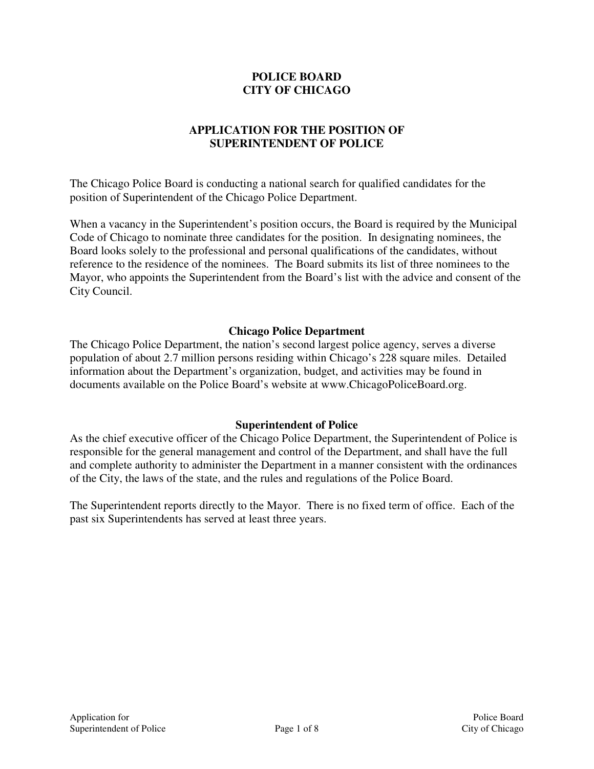### **POLICE BOARD CITY OF CHICAGO**

# **APPLICATION FOR THE POSITION OF SUPERINTENDENT OF POLICE**

The Chicago Police Board is conducting a national search for qualified candidates for the position of Superintendent of the Chicago Police Department.

When a vacancy in the Superintendent's position occurs, the Board is required by the Municipal Code of Chicago to nominate three candidates for the position. In designating nominees, the Board looks solely to the professional and personal qualifications of the candidates, without reference to the residence of the nominees. The Board submits its list of three nominees to the Mayor, who appoints the Superintendent from the Board's list with the advice and consent of the City Council.

#### **Chicago Police Department**

The Chicago Police Department, the nation's second largest police agency, serves a diverse population of about 2.7 million persons residing within Chicago's 228 square miles. Detailed information about the Department's organization, budget, and activities may be found in documents available on the Police Board's website at www.ChicagoPoliceBoard.org.

#### **Superintendent of Police**

As the chief executive officer of the Chicago Police Department, the Superintendent of Police is responsible for the general management and control of the Department, and shall have the full and complete authority to administer the Department in a manner consistent with the ordinances of the City, the laws of the state, and the rules and regulations of the Police Board.

The Superintendent reports directly to the Mayor. There is no fixed term of office. Each of the past six Superintendents has served at least three years.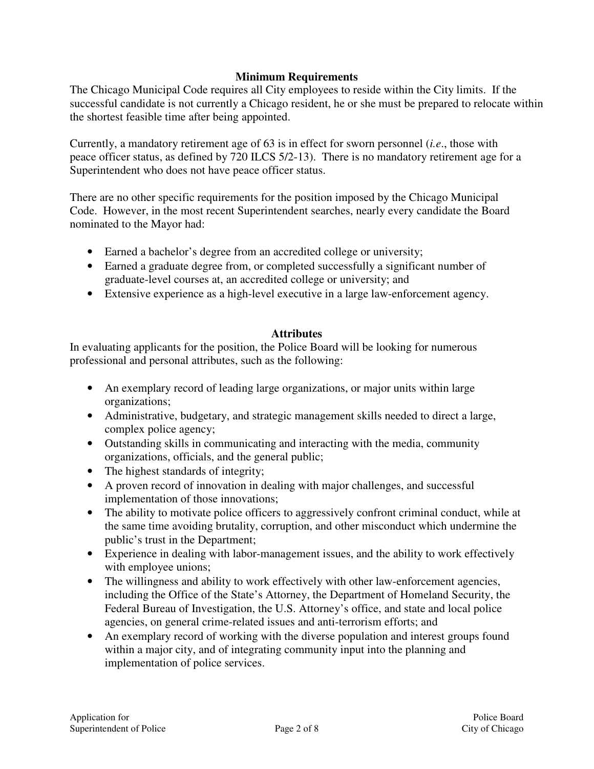#### **Minimum Requirements**

The Chicago Municipal Code requires all City employees to reside within the City limits. If the successful candidate is not currently a Chicago resident, he or she must be prepared to relocate within the shortest feasible time after being appointed.

Currently, a mandatory retirement age of 63 is in effect for sworn personnel (*i.e*., those with peace officer status, as defined by 720 ILCS 5/2-13). There is no mandatory retirement age for a Superintendent who does not have peace officer status.

There are no other specific requirements for the position imposed by the Chicago Municipal Code. However, in the most recent Superintendent searches, nearly every candidate the Board nominated to the Mayor had:

- Earned a bachelor's degree from an accredited college or university;
- Earned a graduate degree from, or completed successfully a significant number of graduate-level courses at, an accredited college or university; and
- Extensive experience as a high-level executive in a large law-enforcement agency.

### **Attributes**

In evaluating applicants for the position, the Police Board will be looking for numerous professional and personal attributes, such as the following:

- An exemplary record of leading large organizations, or major units within large organizations;
- Administrative, budgetary, and strategic management skills needed to direct a large, complex police agency;
- Outstanding skills in communicating and interacting with the media, community organizations, officials, and the general public;
- The highest standards of integrity;
- A proven record of innovation in dealing with major challenges, and successful implementation of those innovations;
- The ability to motivate police officers to aggressively confront criminal conduct, while at the same time avoiding brutality, corruption, and other misconduct which undermine the public's trust in the Department;
- Experience in dealing with labor-management issues, and the ability to work effectively with employee unions;
- The willingness and ability to work effectively with other law-enforcement agencies, including the Office of the State's Attorney, the Department of Homeland Security, the Federal Bureau of Investigation, the U.S. Attorney's office, and state and local police agencies, on general crime-related issues and anti-terrorism efforts; and
- An exemplary record of working with the diverse population and interest groups found within a major city, and of integrating community input into the planning and implementation of police services.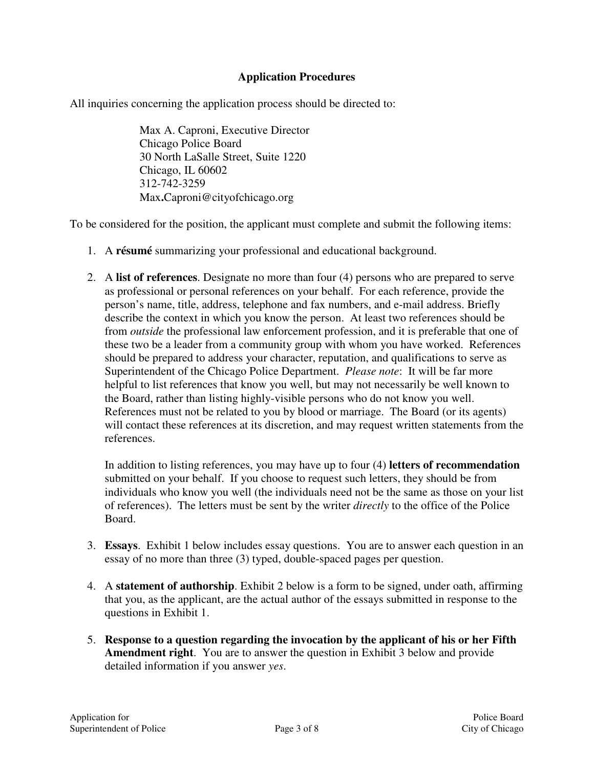### **Application Procedures**

All inquiries concerning the application process should be directed to:

Max A. Caproni, Executive Director Chicago Police Board 30 North LaSalle Street, Suite 1220 Chicago, IL 60602 312-742-3259 Max**.**Caproni@cityofchicago.org

To be considered for the position, the applicant must complete and submit the following items:

- 1. A **résumé** summarizing your professional and educational background.
- 2. A **list of references**. Designate no more than four (4) persons who are prepared to serve as professional or personal references on your behalf. For each reference, provide the person's name, title, address, telephone and fax numbers, and e-mail address. Briefly describe the context in which you know the person. At least two references should be from *outside* the professional law enforcement profession, and it is preferable that one of these two be a leader from a community group with whom you have worked. References should be prepared to address your character, reputation, and qualifications to serve as Superintendent of the Chicago Police Department. *Please note*: It will be far more helpful to list references that know you well, but may not necessarily be well known to the Board, rather than listing highly-visible persons who do not know you well. References must not be related to you by blood or marriage. The Board (or its agents) will contact these references at its discretion, and may request written statements from the references.

In addition to listing references, you may have up to four (4) **letters of recommendation** submitted on your behalf. If you choose to request such letters, they should be from individuals who know you well (the individuals need not be the same as those on your list of references). The letters must be sent by the writer *directly* to the office of the Police Board.

- 3. **Essays**.Exhibit 1 below includes essay questions. You are to answer each question in an essay of no more than three (3) typed, double-spaced pages per question.
- 4. A **statement of authorship**. Exhibit 2 below is a form to be signed, under oath, affirming that you, as the applicant, are the actual author of the essays submitted in response to the questions in Exhibit 1.
- 5. **Response to a question regarding the invocation by the applicant of his or her Fifth Amendment right**. You are to answer the question in Exhibit 3 below and provide detailed information if you answer *yes*.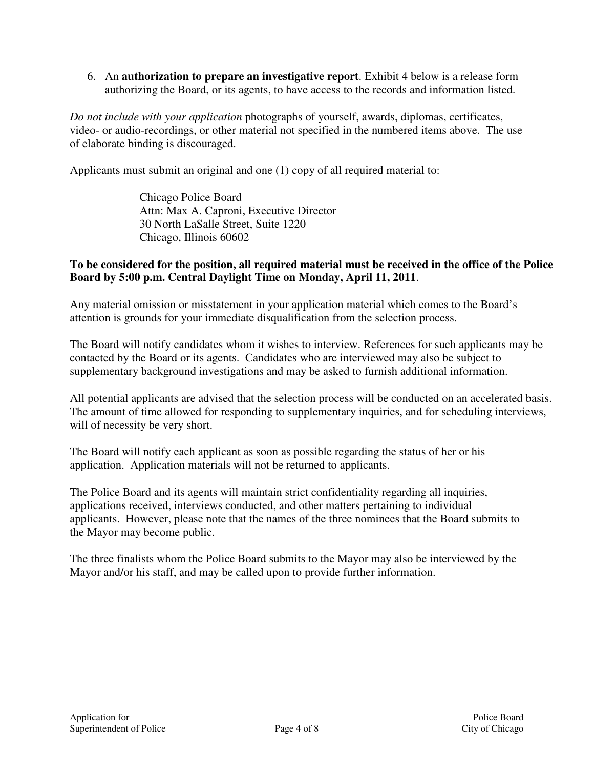6. An **authorization to prepare an investigative report**. Exhibit 4 below is a release form authorizing the Board, or its agents, to have access to the records and information listed.

*Do not include with your application* photographs of yourself, awards, diplomas, certificates, video- or audio-recordings, or other material not specified in the numbered items above. The use of elaborate binding is discouraged.

Applicants must submit an original and one (1) copy of all required material to:

Chicago Police Board Attn: Max A. Caproni, Executive Director 30 North LaSalle Street, Suite 1220 Chicago, Illinois 60602

#### **To be considered for the position, all required material must be received in the office of the Police Board by 5:00 p.m. Central Daylight Time on Monday, April 11, 2011**.

Any material omission or misstatement in your application material which comes to the Board's attention is grounds for your immediate disqualification from the selection process.

The Board will notify candidates whom it wishes to interview. References for such applicants may be contacted by the Board or its agents. Candidates who are interviewed may also be subject to supplementary background investigations and may be asked to furnish additional information.

All potential applicants are advised that the selection process will be conducted on an accelerated basis. The amount of time allowed for responding to supplementary inquiries, and for scheduling interviews, will of necessity be very short.

The Board will notify each applicant as soon as possible regarding the status of her or his application. Application materials will not be returned to applicants.

The Police Board and its agents will maintain strict confidentiality regarding all inquiries, applications received, interviews conducted, and other matters pertaining to individual applicants. However, please note that the names of the three nominees that the Board submits to the Mayor may become public.

The three finalists whom the Police Board submits to the Mayor may also be interviewed by the Mayor and/or his staff, and may be called upon to provide further information.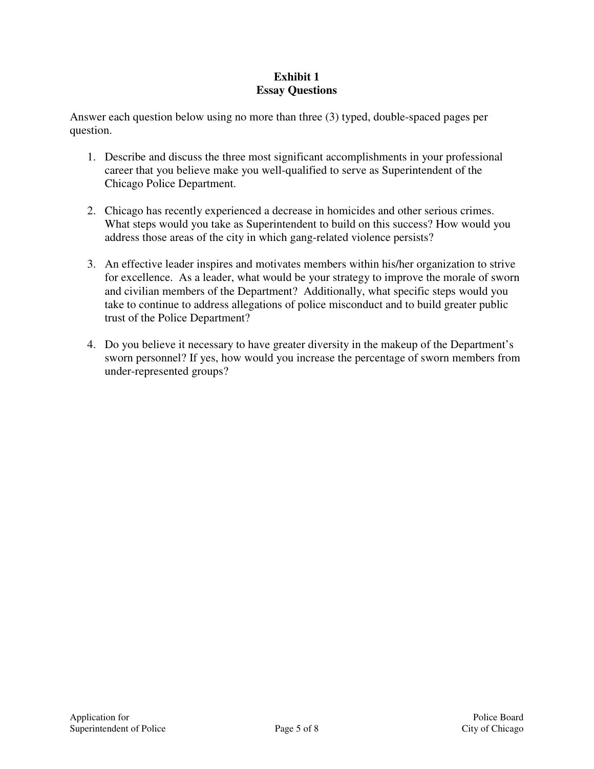## **Exhibit 1 Essay Questions**

Answer each question below using no more than three (3) typed, double-spaced pages per question.

- 1. Describe and discuss the three most significant accomplishments in your professional career that you believe make you well-qualified to serve as Superintendent of the Chicago Police Department.
- 2. Chicago has recently experienced a decrease in homicides and other serious crimes. What steps would you take as Superintendent to build on this success? How would you address those areas of the city in which gang-related violence persists?
- 3. An effective leader inspires and motivates members within his/her organization to strive for excellence. As a leader, what would be your strategy to improve the morale of sworn and civilian members of the Department? Additionally, what specific steps would you take to continue to address allegations of police misconduct and to build greater public trust of the Police Department?
- 4. Do you believe it necessary to have greater diversity in the makeup of the Department's sworn personnel? If yes, how would you increase the percentage of sworn members from under-represented groups?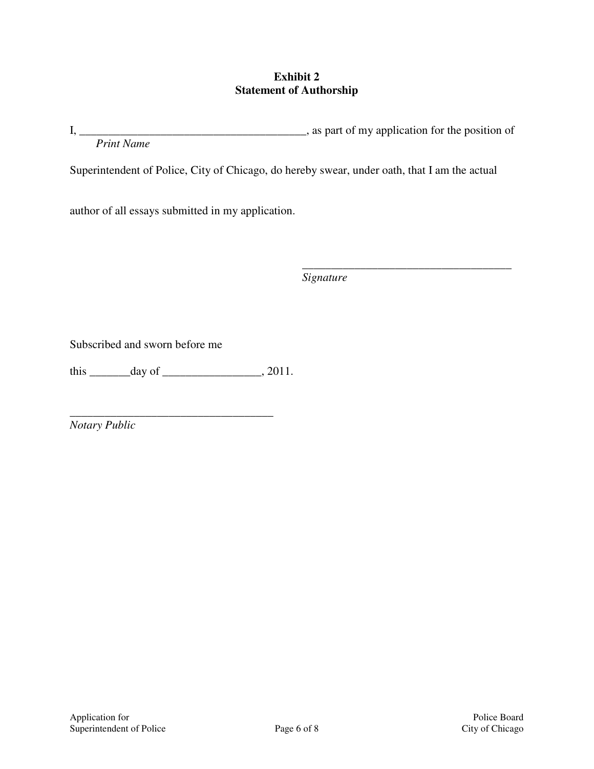### **Exhibit 2 Statement of Authorship**

I, \_\_\_\_\_\_\_\_\_\_\_\_\_\_\_\_\_\_\_\_\_\_\_\_\_\_\_\_\_\_\_\_\_\_\_\_\_\_\_, as part of my application for the position of *Print Name* 

Superintendent of Police, City of Chicago, do hereby swear, under oath, that I am the actual

author of all essays submitted in my application.

 $\frac{1}{\sqrt{2\pi\sigma^2\left(1-\frac{1}{2}\right)^2}}$  , where  $\frac{1}{\sqrt{2\pi\sigma^2\left(1-\frac{1}{2}\right)^2}}$  , where  $\frac{1}{\sqrt{2\pi\sigma^2\left(1-\frac{1}{2}\right)^2}}$  , where  $\frac{1}{\sqrt{2\pi\sigma^2\left(1-\frac{1}{2}\right)^2}}$  , where  $\frac{1}{\sqrt{2\pi\sigma^2\left(1-\frac{1}{2}\right)^2}}$  , where  $\frac{1}{\sqrt{2\pi\sigma^2$ *Signature* 

Subscribed and sworn before me

this \_\_\_\_\_\_\_\_ day of \_\_\_\_\_\_\_\_\_\_\_\_\_\_\_\_, 2011.

\_\_\_\_\_\_\_\_\_\_\_\_\_\_\_\_\_\_\_\_\_\_\_\_\_\_\_\_\_\_\_\_\_\_\_

*Notary Public*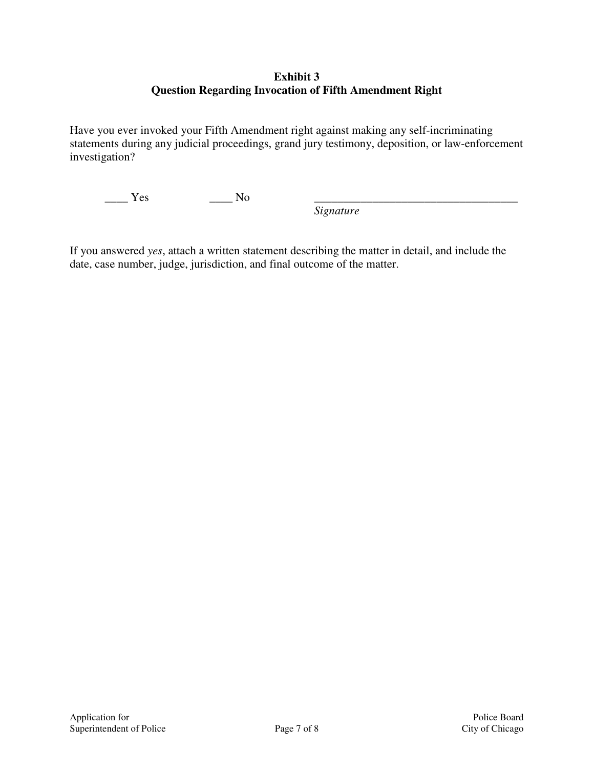### **Exhibit 3 Question Regarding Invocation of Fifth Amendment Right**

Have you ever invoked your Fifth Amendment right against making any self-incriminating statements during any judicial proceedings, grand jury testimony, deposition, or law-enforcement investigation?

 $\frac{\ }{\ }$  Yes  $\frac{\ }{\ }$  No

*Signature* 

If you answered *yes*, attach a written statement describing the matter in detail, and include the date, case number, judge, jurisdiction, and final outcome of the matter.